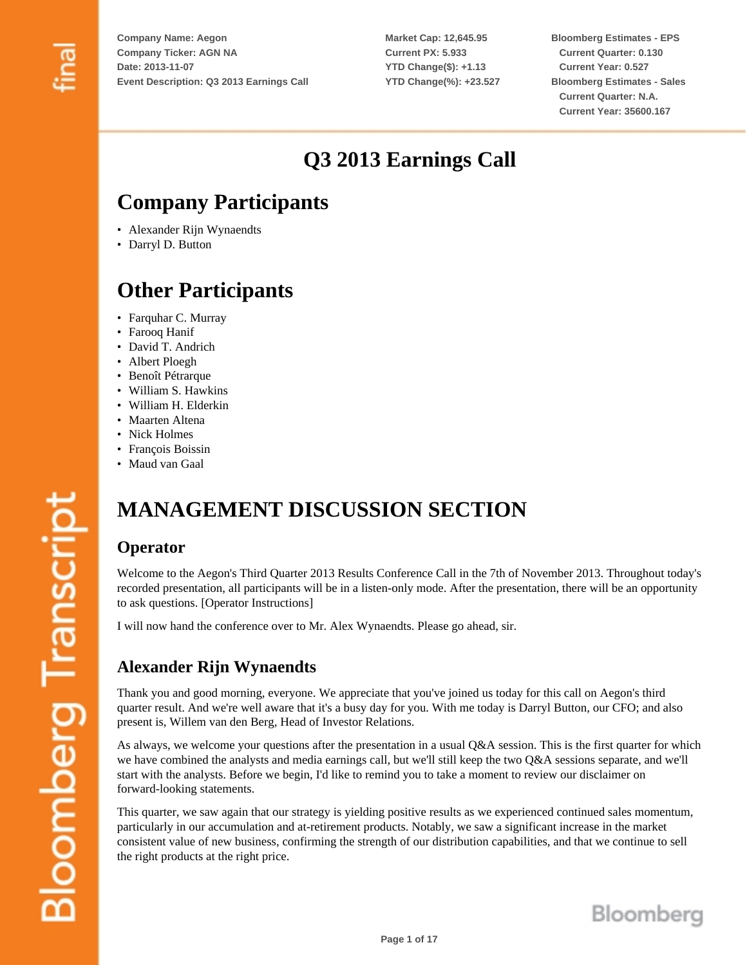**Market Cap: 12,645.95 Current PX: 5.933 YTD Change(\$): +1.13 YTD Change(%): +23.527** **Bloomberg Estimates - EPS Current Quarter: 0.130 Current Year: 0.527 Bloomberg Estimates - Sales Current Quarter: N.A. Current Year: 35600.167**

## **Q3 2013 Earnings Call**

## **Company Participants**

- Alexander Rijn Wynaendts
- Darryl D. Button

## **Other Participants**

- Farquhar C. Murray
- Farooq Hanif
- David T. Andrich
- Albert Ploegh
- Benoît Pétrarque
- William S. Hawkins
- William H. Elderkin
- Maarten Altena
- Nick Holmes
- François Boissin
- Maud van Gaal

# **MANAGEMENT DISCUSSION SECTION**

## **Operator**

Welcome to the Aegon's Third Quarter 2013 Results Conference Call in the 7th of November 2013. Throughout today's recorded presentation, all participants will be in a listen-only mode. After the presentation, there will be an opportunity to ask questions. [Operator Instructions]

I will now hand the conference over to Mr. Alex Wynaendts. Please go ahead, sir.

## **Alexander Rijn Wynaendts**

Thank you and good morning, everyone. We appreciate that you've joined us today for this call on Aegon's third quarter result. And we're well aware that it's a busy day for you. With me today is Darryl Button, our CFO; and also present is, Willem van den Berg, Head of Investor Relations.

As always, we welcome your questions after the presentation in a usual Q&A session. This is the first quarter for which we have combined the analysts and media earnings call, but we'll still keep the two Q&A sessions separate, and we'll start with the analysts. Before we begin, I'd like to remind you to take a moment to review our disclaimer on forward-looking statements.

This quarter, we saw again that our strategy is yielding positive results as we experienced continued sales momentum, particularly in our accumulation and at-retirement products. Notably, we saw a significant increase in the market consistent value of new business, confirming the strength of our distribution capabilities, and that we continue to sell the right products at the right price.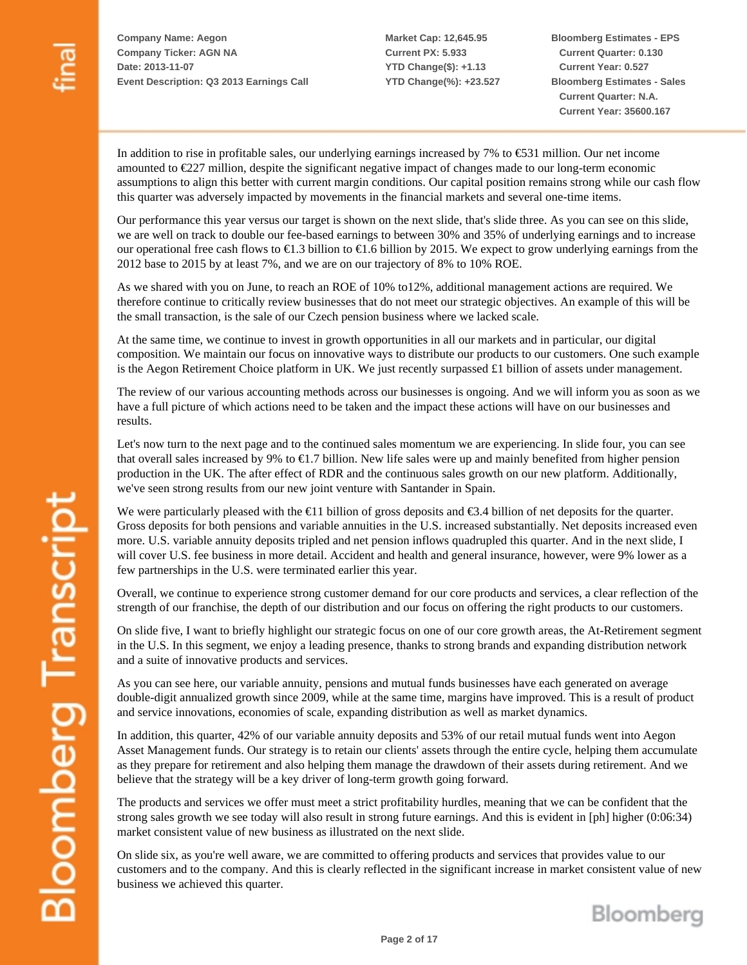**Market Cap: 12,645.95 Current PX: 5.933 YTD Change(\$): +1.13 YTD Change(%): +23.527** **Bloomberg Estimates - EPS Current Quarter: 0.130 Current Year: 0.527 Bloomberg Estimates - Sales Current Quarter: N.A. Current Year: 35600.167**

In addition to rise in profitable sales, our underlying earnings increased by 7% to €531 million. Our net income amounted to €227 million, despite the significant negative impact of changes made to our long-term economic assumptions to align this better with current margin conditions. Our capital position remains strong while our cash flow this quarter was adversely impacted by movements in the financial markets and several one-time items.

Our performance this year versus our target is shown on the next slide, that's slide three. As you can see on this slide, we are well on track to double our fee-based earnings to between 30% and 35% of underlying earnings and to increase our operational free cash flows to  $\epsilon$ 1.3 billion to  $\epsilon$ 1.6 billion by 2015. We expect to grow underlying earnings from the 2012 base to 2015 by at least 7%, and we are on our trajectory of 8% to 10% ROE.

As we shared with you on June, to reach an ROE of 10% to12%, additional management actions are required. We therefore continue to critically review businesses that do not meet our strategic objectives. An example of this will be the small transaction, is the sale of our Czech pension business where we lacked scale.

At the same time, we continue to invest in growth opportunities in all our markets and in particular, our digital composition. We maintain our focus on innovative ways to distribute our products to our customers. One such example is the Aegon Retirement Choice platform in UK. We just recently surpassed £1 billion of assets under management.

The review of our various accounting methods across our businesses is ongoing. And we will inform you as soon as we have a full picture of which actions need to be taken and the impact these actions will have on our businesses and results.

Let's now turn to the next page and to the continued sales momentum we are experiencing. In slide four, you can see that overall sales increased by 9% to  $\epsilon$ 1.7 billion. New life sales were up and mainly benefited from higher pension production in the UK. The after effect of RDR and the continuous sales growth on our new platform. Additionally, we've seen strong results from our new joint venture with Santander in Spain.

We were particularly pleased with the  $\epsilon 11$  billion of gross deposits and  $\epsilon 3.4$  billion of net deposits for the quarter. Gross deposits for both pensions and variable annuities in the U.S. increased substantially. Net deposits increased even more. U.S. variable annuity deposits tripled and net pension inflows quadrupled this quarter. And in the next slide, I will cover U.S. fee business in more detail. Accident and health and general insurance, however, were 9% lower as a few partnerships in the U.S. were terminated earlier this year.

Overall, we continue to experience strong customer demand for our core products and services, a clear reflection of the strength of our franchise, the depth of our distribution and our focus on offering the right products to our customers.

On slide five, I want to briefly highlight our strategic focus on one of our core growth areas, the At-Retirement segment in the U.S. In this segment, we enjoy a leading presence, thanks to strong brands and expanding distribution network and a suite of innovative products and services.

As you can see here, our variable annuity, pensions and mutual funds businesses have each generated on average double-digit annualized growth since 2009, while at the same time, margins have improved. This is a result of product and service innovations, economies of scale, expanding distribution as well as market dynamics.

In addition, this quarter, 42% of our variable annuity deposits and 53% of our retail mutual funds went into Aegon Asset Management funds. Our strategy is to retain our clients' assets through the entire cycle, helping them accumulate as they prepare for retirement and also helping them manage the drawdown of their assets during retirement. And we believe that the strategy will be a key driver of long-term growth going forward.

The products and services we offer must meet a strict profitability hurdles, meaning that we can be confident that the strong sales growth we see today will also result in strong future earnings. And this is evident in [ph] higher (0:06:34) market consistent value of new business as illustrated on the next slide.

On slide six, as you're well aware, we are committed to offering products and services that provides value to our customers and to the company. And this is clearly reflected in the significant increase in market consistent value of new business we achieved this quarter.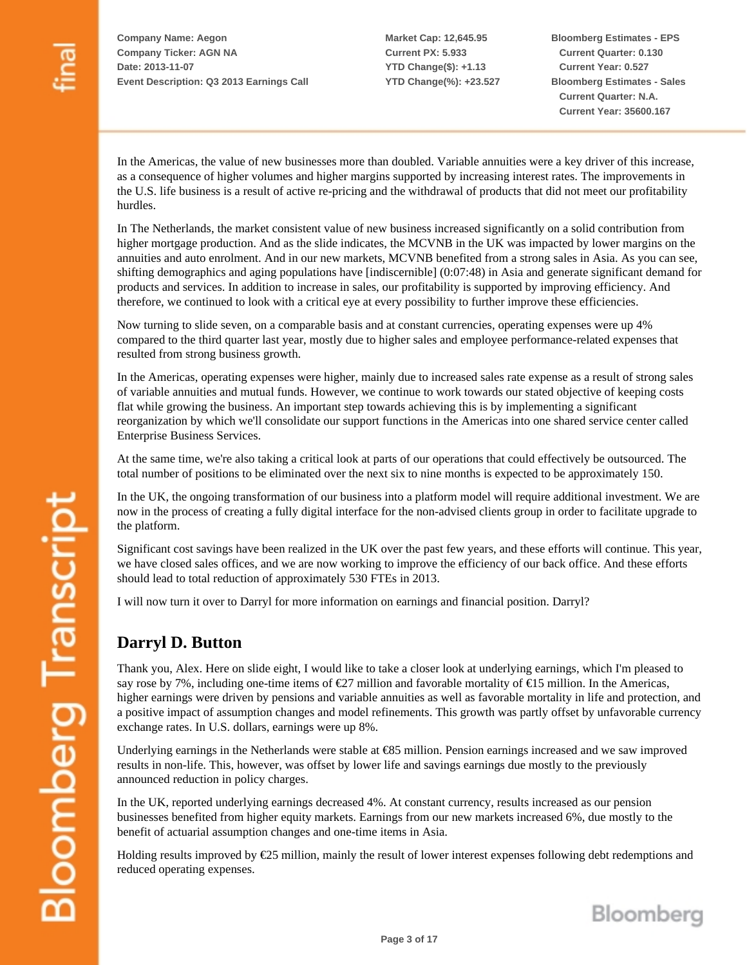**Market Cap: 12,645.95 Current PX: 5.933 YTD Change(\$): +1.13 YTD Change(%): +23.527** **Bloomberg Estimates - EPS Current Quarter: 0.130 Current Year: 0.527 Bloomberg Estimates - Sales Current Quarter: N.A. Current Year: 35600.167**

In the Americas, the value of new businesses more than doubled. Variable annuities were a key driver of this increase, as a consequence of higher volumes and higher margins supported by increasing interest rates. The improvements in the U.S. life business is a result of active re-pricing and the withdrawal of products that did not meet our profitability hurdles.

In The Netherlands, the market consistent value of new business increased significantly on a solid contribution from higher mortgage production. And as the slide indicates, the MCVNB in the UK was impacted by lower margins on the annuities and auto enrolment. And in our new markets, MCVNB benefited from a strong sales in Asia. As you can see, shifting demographics and aging populations have [indiscernible] (0:07:48) in Asia and generate significant demand for products and services. In addition to increase in sales, our profitability is supported by improving efficiency. And therefore, we continued to look with a critical eye at every possibility to further improve these efficiencies.

Now turning to slide seven, on a comparable basis and at constant currencies, operating expenses were up 4% compared to the third quarter last year, mostly due to higher sales and employee performance-related expenses that resulted from strong business growth.

In the Americas, operating expenses were higher, mainly due to increased sales rate expense as a result of strong sales of variable annuities and mutual funds. However, we continue to work towards our stated objective of keeping costs flat while growing the business. An important step towards achieving this is by implementing a significant reorganization by which we'll consolidate our support functions in the Americas into one shared service center called Enterprise Business Services.

At the same time, we're also taking a critical look at parts of our operations that could effectively be outsourced. The total number of positions to be eliminated over the next six to nine months is expected to be approximately 150.

In the UK, the ongoing transformation of our business into a platform model will require additional investment. We are now in the process of creating a fully digital interface for the non-advised clients group in order to facilitate upgrade to the platform.

Significant cost savings have been realized in the UK over the past few years, and these efforts will continue. This year, we have closed sales offices, and we are now working to improve the efficiency of our back office. And these efforts should lead to total reduction of approximately 530 FTEs in 2013.

I will now turn it over to Darryl for more information on earnings and financial position. Darryl?

#### **Darryl D. Button**

Thank you, Alex. Here on slide eight, I would like to take a closer look at underlying earnings, which I'm pleased to say rose by 7%, including one-time items of  $\epsilon$ 27 million and favorable mortality of  $\epsilon$ 15 million. In the Americas, higher earnings were driven by pensions and variable annuities as well as favorable mortality in life and protection, and a positive impact of assumption changes and model refinements. This growth was partly offset by unfavorable currency exchange rates. In U.S. dollars, earnings were up 8%.

Underlying earnings in the Netherlands were stable at €85 million. Pension earnings increased and we saw improved results in non-life. This, however, was offset by lower life and savings earnings due mostly to the previously announced reduction in policy charges.

In the UK, reported underlying earnings decreased 4%. At constant currency, results increased as our pension businesses benefited from higher equity markets. Earnings from our new markets increased 6%, due mostly to the benefit of actuarial assumption changes and one-time items in Asia.

Holding results improved by €25 million, mainly the result of lower interest expenses following debt redemptions and reduced operating expenses.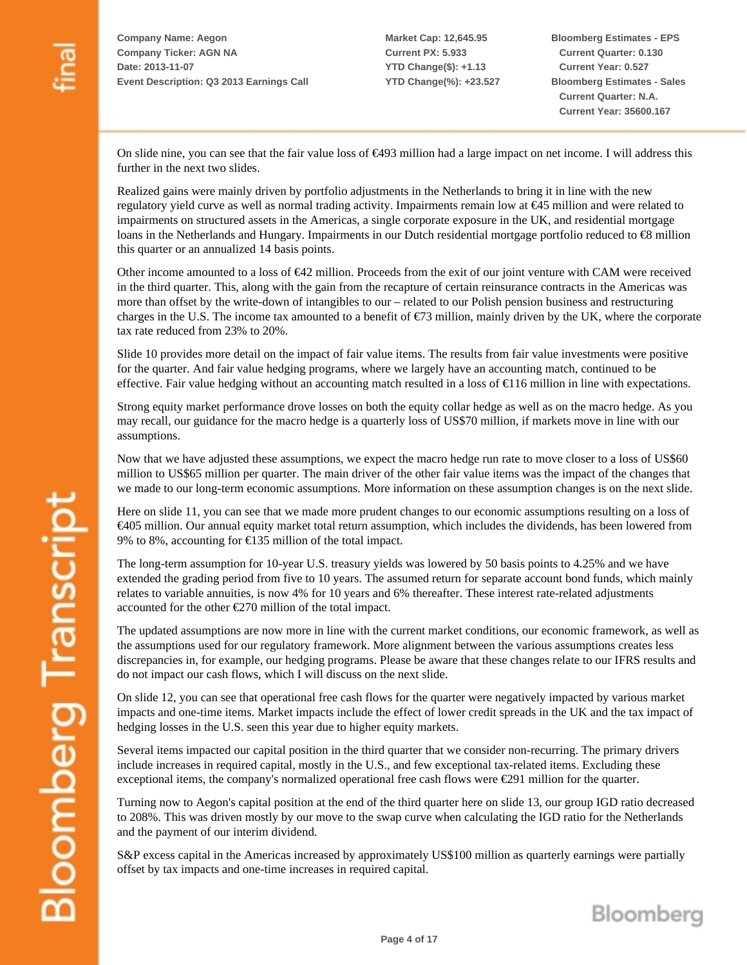**Bloomberg Estimates - EPS Current Quarter: 0.130 Current Year: 0.527 Bloomberg Estimates - Sales Current Quarter: N.A. Current Year: 35600.167**

On slide nine, you can see that the fair value loss of €493 million had a large impact on net income. I will address this further in the next two slides.

Realized gains were mainly driven by portfolio adjustments in the Netherlands to bring it in line with the new regulatory yield curve as well as normal trading activity. Impairments remain low at €45 million and were related to impairments on structured assets in the Americas, a single corporate exposure in the UK, and residential mortgage loans in the Netherlands and Hungary. Impairments in our Dutch residential mortgage portfolio reduced to €8 million this quarter or an annualized 14 basis points.

Other income amounted to a loss of €42 million. Proceeds from the exit of our joint venture with CAM were received in the third quarter. This, along with the gain from the recapture of certain reinsurance contracts in the Americas was more than offset by the write-down of intangibles to our – related to our Polish pension business and restructuring charges in the U.S. The income tax amounted to a benefit of  $\epsilon$ 73 million, mainly driven by the UK, where the corporate tax rate reduced from 23% to 20%.

Slide 10 provides more detail on the impact of fair value items. The results from fair value investments were positive for the quarter. And fair value hedging programs, where we largely have an accounting match, continued to be effective. Fair value hedging without an accounting match resulted in a loss of  $\epsilon$ 116 million in line with expectations.

Strong equity market performance drove losses on both the equity collar hedge as well as on the macro hedge. As you may recall, our guidance for the macro hedge is a quarterly loss of US\$70 million, if markets move in line with our assumptions.

Now that we have adjusted these assumptions, we expect the macro hedge run rate to move closer to a loss of US\$60 million to US\$65 million per quarter. The main driver of the other fair value items was the impact of the changes that we made to our long-term economic assumptions. More information on these assumption changes is on the next slide.

Here on slide 11, you can see that we made more prudent changes to our economic assumptions resulting on a loss of €405 million. Our annual equity market total return assumption, which includes the dividends, has been lowered from 9% to 8%, accounting for  $\text{\textsterling}135$  million of the total impact.

The long-term assumption for 10-year U.S. treasury yields was lowered by 50 basis points to 4.25% and we have extended the grading period from five to 10 years. The assumed return for separate account bond funds, which mainly relates to variable annuities, is now 4% for 10 years and 6% thereafter. These interest rate-related adjustments accounted for the other  $\epsilon$ 270 million of the total impact.

The updated assumptions are now more in line with the current market conditions, our economic framework, as well as the assumptions used for our regulatory framework. More alignment between the various assumptions creates less discrepancies in, for example, our hedging programs. Please be aware that these changes relate to our IFRS results and do not impact our cash flows, which I will discuss on the next slide.

On slide 12, you can see that operational free cash flows for the quarter were negatively impacted by various market impacts and one-time items. Market impacts include the effect of lower credit spreads in the UK and the tax impact of hedging losses in the U.S. seen this year due to higher equity markets.

Several items impacted our capital position in the third quarter that we consider non-recurring. The primary drivers include increases in required capital, mostly in the U.S., and few exceptional tax-related items. Excluding these exceptional items, the company's normalized operational free cash flows were  $\epsilon$ 291 million for the quarter.

Turning now to Aegon's capital position at the end of the third quarter here on slide 13, our group IGD ratio decreased to 208%. This was driven mostly by our move to the swap curve when calculating the IGD ratio for the Netherlands and the payment of our interim dividend.

S&P excess capital in the Americas increased by approximately US\$100 million as quarterly earnings were partially offset by tax impacts and one-time increases in required capital.

Bloomberg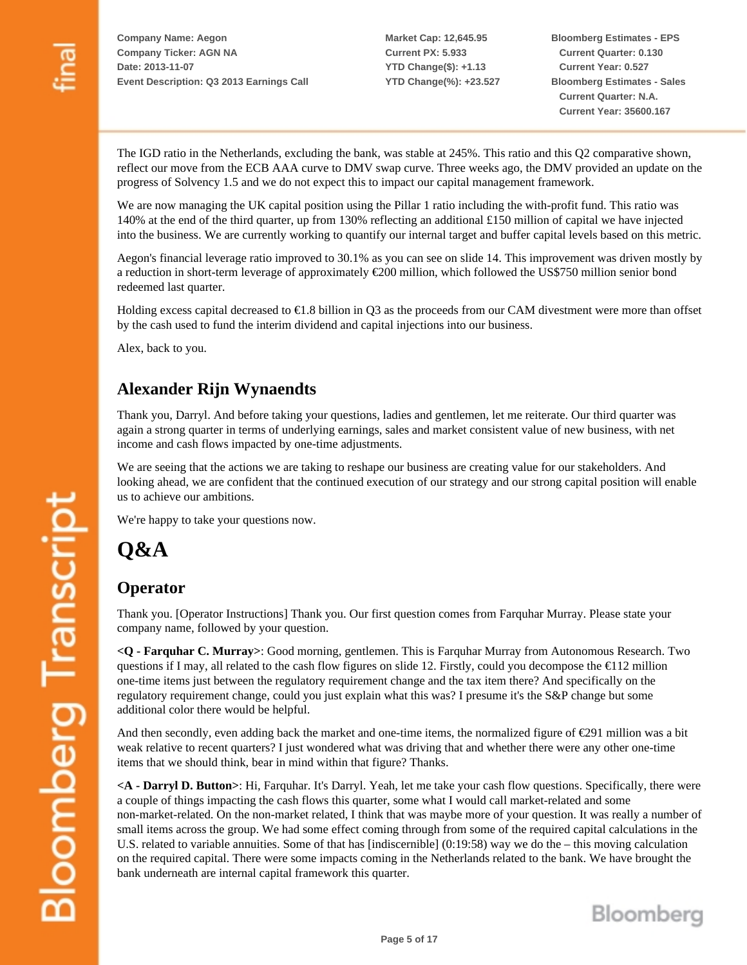**Market Cap: 12,645.95 Current PX: 5.933 YTD Change(\$): +1.13 YTD Change(%): +23.527** **Bloomberg Estimates - EPS Current Quarter: 0.130 Current Year: 0.527 Bloomberg Estimates - Sales Current Quarter: N.A. Current Year: 35600.167**

The IGD ratio in the Netherlands, excluding the bank, was stable at 245%. This ratio and this Q2 comparative shown, reflect our move from the ECB AAA curve to DMV swap curve. Three weeks ago, the DMV provided an update on the progress of Solvency 1.5 and we do not expect this to impact our capital management framework.

We are now managing the UK capital position using the Pillar 1 ratio including the with-profit fund. This ratio was 140% at the end of the third quarter, up from 130% reflecting an additional £150 million of capital we have injected into the business. We are currently working to quantify our internal target and buffer capital levels based on this metric.

Aegon's financial leverage ratio improved to 30.1% as you can see on slide 14. This improvement was driven mostly by a reduction in short-term leverage of approximately €200 million, which followed the US\$750 million senior bond redeemed last quarter.

Holding excess capital decreased to  $\epsilon 1.8$  billion in Q3 as the proceeds from our CAM divestment were more than offset by the cash used to fund the interim dividend and capital injections into our business.

Alex, back to you.

### **Alexander Rijn Wynaendts**

Thank you, Darryl. And before taking your questions, ladies and gentlemen, let me reiterate. Our third quarter was again a strong quarter in terms of underlying earnings, sales and market consistent value of new business, with net income and cash flows impacted by one-time adjustments.

We are seeing that the actions we are taking to reshape our business are creating value for our stakeholders. And looking ahead, we are confident that the continued execution of our strategy and our strong capital position will enable us to achieve our ambitions.

We're happy to take your questions now.

**Q&A** 

#### **Operator**

Thank you. [Operator Instructions] Thank you. Our first question comes from Farquhar Murray. Please state your company name, followed by your question.

**<Q - Farquhar C. Murray>**: Good morning, gentlemen. This is Farquhar Murray from Autonomous Research. Two questions if I may, all related to the cash flow figures on slide 12. Firstly, could you decompose the  $\epsilon$ 112 million one-time items just between the regulatory requirement change and the tax item there? And specifically on the regulatory requirement change, could you just explain what this was? I presume it's the S&P change but some additional color there would be helpful.

And then secondly, even adding back the market and one-time items, the normalized figure of €291 million was a bit weak relative to recent quarters? I just wondered what was driving that and whether there were any other one-time items that we should think, bear in mind within that figure? Thanks.

**<A - Darryl D. Button>**: Hi, Farquhar. It's Darryl. Yeah, let me take your cash flow questions. Specifically, there were a couple of things impacting the cash flows this quarter, some what I would call market-related and some non-market-related. On the non-market related, I think that was maybe more of your question. It was really a number of small items across the group. We had some effect coming through from some of the required capital calculations in the U.S. related to variable annuities. Some of that has [indiscernible] (0:19:58) way we do the – this moving calculation on the required capital. There were some impacts coming in the Netherlands related to the bank. We have brought the bank underneath are internal capital framework this quarter.

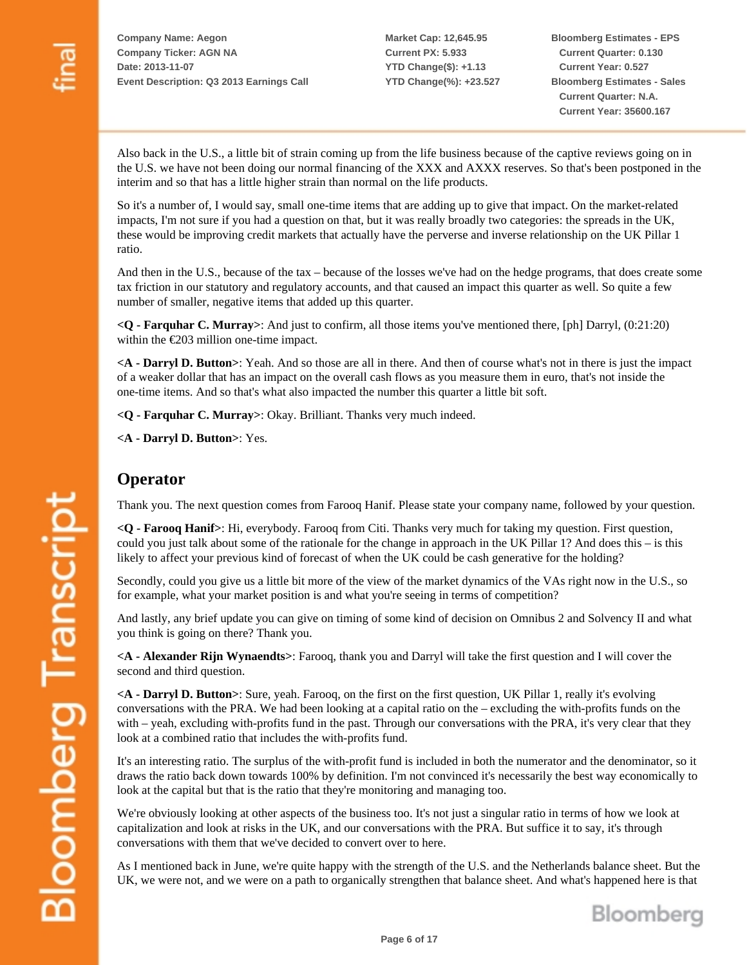**Market Cap: 12,645.95 Current PX: 5.933 YTD Change(\$): +1.13 YTD Change(%): +23.527** **Bloomberg Estimates - EPS Current Quarter: 0.130 Current Year: 0.527 Bloomberg Estimates - Sales Current Quarter: N.A. Current Year: 35600.167**

Also back in the U.S., a little bit of strain coming up from the life business because of the captive reviews going on in the U.S. we have not been doing our normal financing of the XXX and AXXX reserves. So that's been postponed in the interim and so that has a little higher strain than normal on the life products.

So it's a number of, I would say, small one-time items that are adding up to give that impact. On the market-related impacts, I'm not sure if you had a question on that, but it was really broadly two categories: the spreads in the UK, these would be improving credit markets that actually have the perverse and inverse relationship on the UK Pillar 1 ratio.

And then in the U.S., because of the tax – because of the losses we've had on the hedge programs, that does create some tax friction in our statutory and regulatory accounts, and that caused an impact this quarter as well. So quite a few number of smaller, negative items that added up this quarter.

**<Q - Farquhar C. Murray>**: And just to confirm, all those items you've mentioned there, [ph] Darryl, (0:21:20) within the  $\epsilon$ 203 million one-time impact.

**<A - Darryl D. Button>**: Yeah. And so those are all in there. And then of course what's not in there is just the impact of a weaker dollar that has an impact on the overall cash flows as you measure them in euro, that's not inside the one-time items. And so that's what also impacted the number this quarter a little bit soft.

**<Q - Farquhar C. Murray>**: Okay. Brilliant. Thanks very much indeed.

**<A - Darryl D. Button>**: Yes.

#### **Operator**

Thank you. The next question comes from Farooq Hanif. Please state your company name, followed by your question.

**<Q - Farooq Hanif>**: Hi, everybody. Farooq from Citi. Thanks very much for taking my question. First question, could you just talk about some of the rationale for the change in approach in the UK Pillar 1? And does this – is this likely to affect your previous kind of forecast of when the UK could be cash generative for the holding?

Secondly, could you give us a little bit more of the view of the market dynamics of the VAs right now in the U.S., so for example, what your market position is and what you're seeing in terms of competition?

And lastly, any brief update you can give on timing of some kind of decision on Omnibus 2 and Solvency II and what you think is going on there? Thank you.

**<A - Alexander Rijn Wynaendts>**: Farooq, thank you and Darryl will take the first question and I will cover the second and third question.

**<A - Darryl D. Button>**: Sure, yeah. Farooq, on the first on the first question, UK Pillar 1, really it's evolving conversations with the PRA. We had been looking at a capital ratio on the – excluding the with-profits funds on the with – yeah, excluding with-profits fund in the past. Through our conversations with the PRA, it's very clear that they look at a combined ratio that includes the with-profits fund.

It's an interesting ratio. The surplus of the with-profit fund is included in both the numerator and the denominator, so it draws the ratio back down towards 100% by definition. I'm not convinced it's necessarily the best way economically to look at the capital but that is the ratio that they're monitoring and managing too.

We're obviously looking at other aspects of the business too. It's not just a singular ratio in terms of how we look at capitalization and look at risks in the UK, and our conversations with the PRA. But suffice it to say, it's through conversations with them that we've decided to convert over to here.

As I mentioned back in June, we're quite happy with the strength of the U.S. and the Netherlands balance sheet. But the UK, we were not, and we were on a path to organically strengthen that balance sheet. And what's happened here is that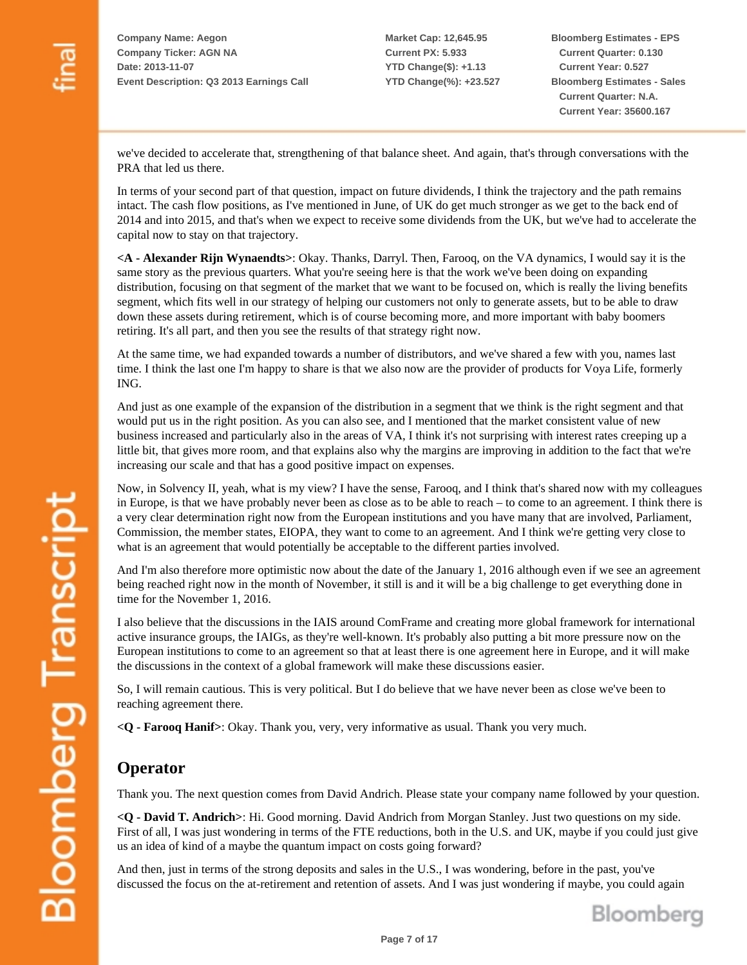**Market Cap: 12,645.95 Current PX: 5.933 YTD Change(\$): +1.13 YTD Change(%): +23.527** **Bloomberg Estimates - EPS Current Quarter: 0.130 Current Year: 0.527 Bloomberg Estimates - Sales Current Quarter: N.A. Current Year: 35600.167**

we've decided to accelerate that, strengthening of that balance sheet. And again, that's through conversations with the PRA that led us there.

In terms of your second part of that question, impact on future dividends, I think the trajectory and the path remains intact. The cash flow positions, as I've mentioned in June, of UK do get much stronger as we get to the back end of 2014 and into 2015, and that's when we expect to receive some dividends from the UK, but we've had to accelerate the capital now to stay on that trajectory.

**<A - Alexander Rijn Wynaendts>**: Okay. Thanks, Darryl. Then, Farooq, on the VA dynamics, I would say it is the same story as the previous quarters. What you're seeing here is that the work we've been doing on expanding distribution, focusing on that segment of the market that we want to be focused on, which is really the living benefits segment, which fits well in our strategy of helping our customers not only to generate assets, but to be able to draw down these assets during retirement, which is of course becoming more, and more important with baby boomers retiring. It's all part, and then you see the results of that strategy right now.

At the same time, we had expanded towards a number of distributors, and we've shared a few with you, names last time. I think the last one I'm happy to share is that we also now are the provider of products for Voya Life, formerly ING.

And just as one example of the expansion of the distribution in a segment that we think is the right segment and that would put us in the right position. As you can also see, and I mentioned that the market consistent value of new business increased and particularly also in the areas of VA, I think it's not surprising with interest rates creeping up a little bit, that gives more room, and that explains also why the margins are improving in addition to the fact that we're increasing our scale and that has a good positive impact on expenses.

Now, in Solvency II, yeah, what is my view? I have the sense, Farooq, and I think that's shared now with my colleagues in Europe, is that we have probably never been as close as to be able to reach – to come to an agreement. I think there is a very clear determination right now from the European institutions and you have many that are involved, Parliament, Commission, the member states, EIOPA, they want to come to an agreement. And I think we're getting very close to what is an agreement that would potentially be acceptable to the different parties involved.

And I'm also therefore more optimistic now about the date of the January 1, 2016 although even if we see an agreement being reached right now in the month of November, it still is and it will be a big challenge to get everything done in time for the November 1, 2016.

I also believe that the discussions in the IAIS around ComFrame and creating more global framework for international active insurance groups, the IAIGs, as they're well-known. It's probably also putting a bit more pressure now on the European institutions to come to an agreement so that at least there is one agreement here in Europe, and it will make the discussions in the context of a global framework will make these discussions easier.

So, I will remain cautious. This is very political. But I do believe that we have never been as close we've been to reaching agreement there.

**<Q - Farooq Hanif>**: Okay. Thank you, very, very informative as usual. Thank you very much.

## **Operator**

Thank you. The next question comes from David Andrich. Please state your company name followed by your question.

**<Q - David T. Andrich>**: Hi. Good morning. David Andrich from Morgan Stanley. Just two questions on my side. First of all, I was just wondering in terms of the FTE reductions, both in the U.S. and UK, maybe if you could just give us an idea of kind of a maybe the quantum impact on costs going forward?

And then, just in terms of the strong deposits and sales in the U.S., I was wondering, before in the past, you've discussed the focus on the at-retirement and retention of assets. And I was just wondering if maybe, you could again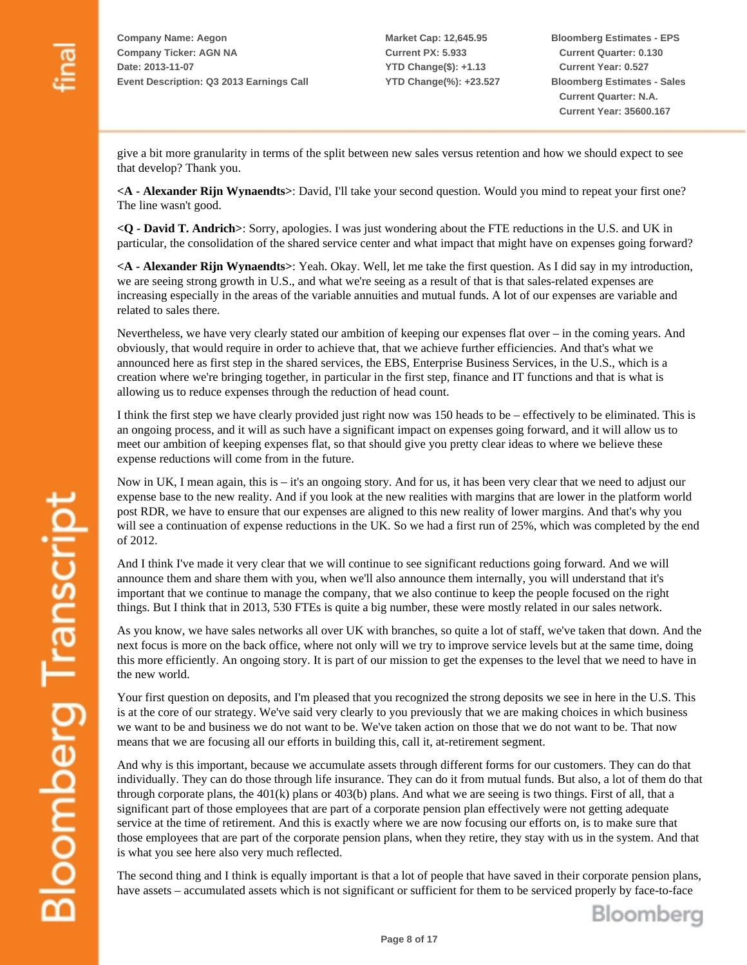**Market Cap: 12,645.95 Current PX: 5.933 YTD Change(\$): +1.13 YTD Change(%): +23.527** **Bloomberg Estimates - EPS Current Quarter: 0.130 Current Year: 0.527 Bloomberg Estimates - Sales Current Quarter: N.A. Current Year: 35600.167**

give a bit more granularity in terms of the split between new sales versus retention and how we should expect to see that develop? Thank you.

**<A - Alexander Rijn Wynaendts>**: David, I'll take your second question. Would you mind to repeat your first one? The line wasn't good.

**<Q - David T. Andrich>**: Sorry, apologies. I was just wondering about the FTE reductions in the U.S. and UK in particular, the consolidation of the shared service center and what impact that might have on expenses going forward?

**<A - Alexander Rijn Wynaendts>**: Yeah. Okay. Well, let me take the first question. As I did say in my introduction, we are seeing strong growth in U.S., and what we're seeing as a result of that is that sales-related expenses are increasing especially in the areas of the variable annuities and mutual funds. A lot of our expenses are variable and related to sales there.

Nevertheless, we have very clearly stated our ambition of keeping our expenses flat over – in the coming years. And obviously, that would require in order to achieve that, that we achieve further efficiencies. And that's what we announced here as first step in the shared services, the EBS, Enterprise Business Services, in the U.S., which is a creation where we're bringing together, in particular in the first step, finance and IT functions and that is what is allowing us to reduce expenses through the reduction of head count.

I think the first step we have clearly provided just right now was 150 heads to be – effectively to be eliminated. This is an ongoing process, and it will as such have a significant impact on expenses going forward, and it will allow us to meet our ambition of keeping expenses flat, so that should give you pretty clear ideas to where we believe these expense reductions will come from in the future.

Now in UK, I mean again, this is – it's an ongoing story. And for us, it has been very clear that we need to adjust our expense base to the new reality. And if you look at the new realities with margins that are lower in the platform world post RDR, we have to ensure that our expenses are aligned to this new reality of lower margins. And that's why you will see a continuation of expense reductions in the UK. So we had a first run of 25%, which was completed by the end of 2012.

And I think I've made it very clear that we will continue to see significant reductions going forward. And we will announce them and share them with you, when we'll also announce them internally, you will understand that it's important that we continue to manage the company, that we also continue to keep the people focused on the right things. But I think that in 2013, 530 FTEs is quite a big number, these were mostly related in our sales network.

As you know, we have sales networks all over UK with branches, so quite a lot of staff, we've taken that down. And the next focus is more on the back office, where not only will we try to improve service levels but at the same time, doing this more efficiently. An ongoing story. It is part of our mission to get the expenses to the level that we need to have in the new world.

Your first question on deposits, and I'm pleased that you recognized the strong deposits we see in here in the U.S. This is at the core of our strategy. We've said very clearly to you previously that we are making choices in which business we want to be and business we do not want to be. We've taken action on those that we do not want to be. That now means that we are focusing all our efforts in building this, call it, at-retirement segment.

And why is this important, because we accumulate assets through different forms for our customers. They can do that individually. They can do those through life insurance. They can do it from mutual funds. But also, a lot of them do that through corporate plans, the  $401(k)$  plans or  $403(b)$  plans. And what we are seeing is two things. First of all, that a significant part of those employees that are part of a corporate pension plan effectively were not getting adequate service at the time of retirement. And this is exactly where we are now focusing our efforts on, is to make sure that those employees that are part of the corporate pension plans, when they retire, they stay with us in the system. And that is what you see here also very much reflected.

The second thing and I think is equally important is that a lot of people that have saved in their corporate pension plans, have assets – accumulated assets which is not significant or sufficient for them to be serviced properly by face-to-face

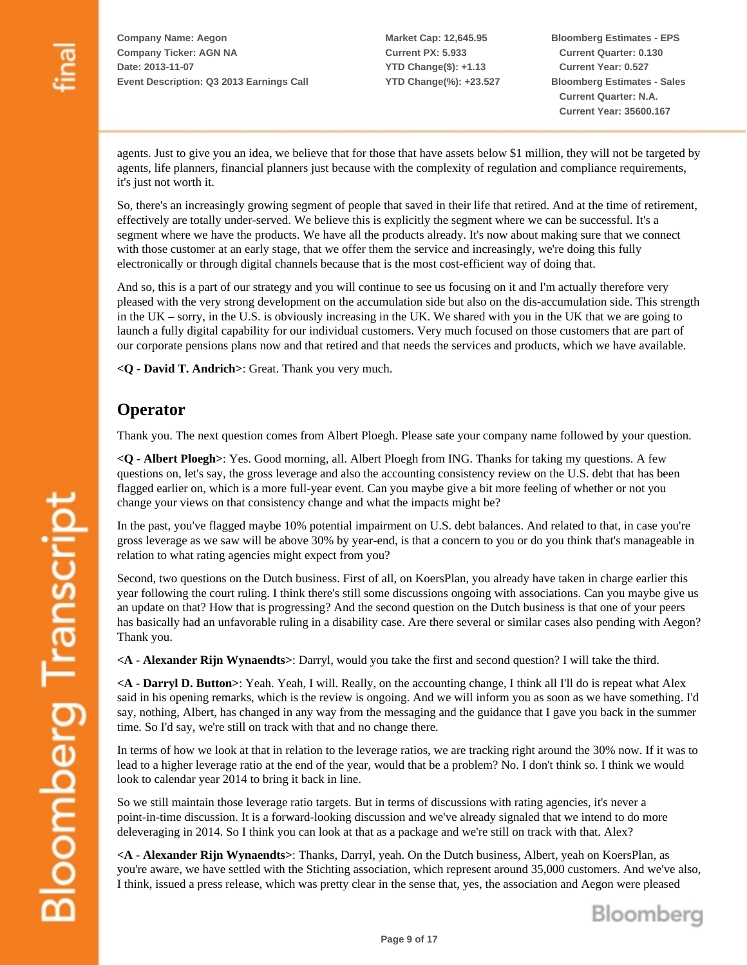**Market Cap: 12,645.95 Current PX: 5.933 YTD Change(\$): +1.13 YTD Change(%): +23.527** **Bloomberg Estimates - EPS Current Quarter: 0.130 Current Year: 0.527 Bloomberg Estimates - Sales Current Quarter: N.A. Current Year: 35600.167**

agents. Just to give you an idea, we believe that for those that have assets below \$1 million, they will not be targeted by agents, life planners, financial planners just because with the complexity of regulation and compliance requirements, it's just not worth it.

So, there's an increasingly growing segment of people that saved in their life that retired. And at the time of retirement, effectively are totally under-served. We believe this is explicitly the segment where we can be successful. It's a segment where we have the products. We have all the products already. It's now about making sure that we connect with those customer at an early stage, that we offer them the service and increasingly, we're doing this fully electronically or through digital channels because that is the most cost-efficient way of doing that.

And so, this is a part of our strategy and you will continue to see us focusing on it and I'm actually therefore very pleased with the very strong development on the accumulation side but also on the dis-accumulation side. This strength in the UK – sorry, in the U.S. is obviously increasing in the UK. We shared with you in the UK that we are going to launch a fully digital capability for our individual customers. Very much focused on those customers that are part of our corporate pensions plans now and that retired and that needs the services and products, which we have available.

**<Q - David T. Andrich>**: Great. Thank you very much.

#### **Operator**

Thank you. The next question comes from Albert Ploegh. Please sate your company name followed by your question.

**<Q - Albert Ploegh>**: Yes. Good morning, all. Albert Ploegh from ING. Thanks for taking my questions. A few questions on, let's say, the gross leverage and also the accounting consistency review on the U.S. debt that has been flagged earlier on, which is a more full-year event. Can you maybe give a bit more feeling of whether or not you change your views on that consistency change and what the impacts might be?

In the past, you've flagged maybe 10% potential impairment on U.S. debt balances. And related to that, in case you're gross leverage as we saw will be above 30% by year-end, is that a concern to you or do you think that's manageable in relation to what rating agencies might expect from you?

Second, two questions on the Dutch business. First of all, on KoersPlan, you already have taken in charge earlier this year following the court ruling. I think there's still some discussions ongoing with associations. Can you maybe give us an update on that? How that is progressing? And the second question on the Dutch business is that one of your peers has basically had an unfavorable ruling in a disability case. Are there several or similar cases also pending with Aegon? Thank you.

**<A - Alexander Rijn Wynaendts>**: Darryl, would you take the first and second question? I will take the third.

**<A - Darryl D. Button>**: Yeah. Yeah, I will. Really, on the accounting change, I think all I'll do is repeat what Alex said in his opening remarks, which is the review is ongoing. And we will inform you as soon as we have something. I'd say, nothing, Albert, has changed in any way from the messaging and the guidance that I gave you back in the summer time. So I'd say, we're still on track with that and no change there.

In terms of how we look at that in relation to the leverage ratios, we are tracking right around the 30% now. If it was to lead to a higher leverage ratio at the end of the year, would that be a problem? No. I don't think so. I think we would look to calendar year 2014 to bring it back in line.

So we still maintain those leverage ratio targets. But in terms of discussions with rating agencies, it's never a point-in-time discussion. It is a forward-looking discussion and we've already signaled that we intend to do more deleveraging in 2014. So I think you can look at that as a package and we're still on track with that. Alex?

**<A - Alexander Rijn Wynaendts>**: Thanks, Darryl, yeah. On the Dutch business, Albert, yeah on KoersPlan, as you're aware, we have settled with the Stichting association, which represent around 35,000 customers. And we've also, I think, issued a press release, which was pretty clear in the sense that, yes, the association and Aegon were pleased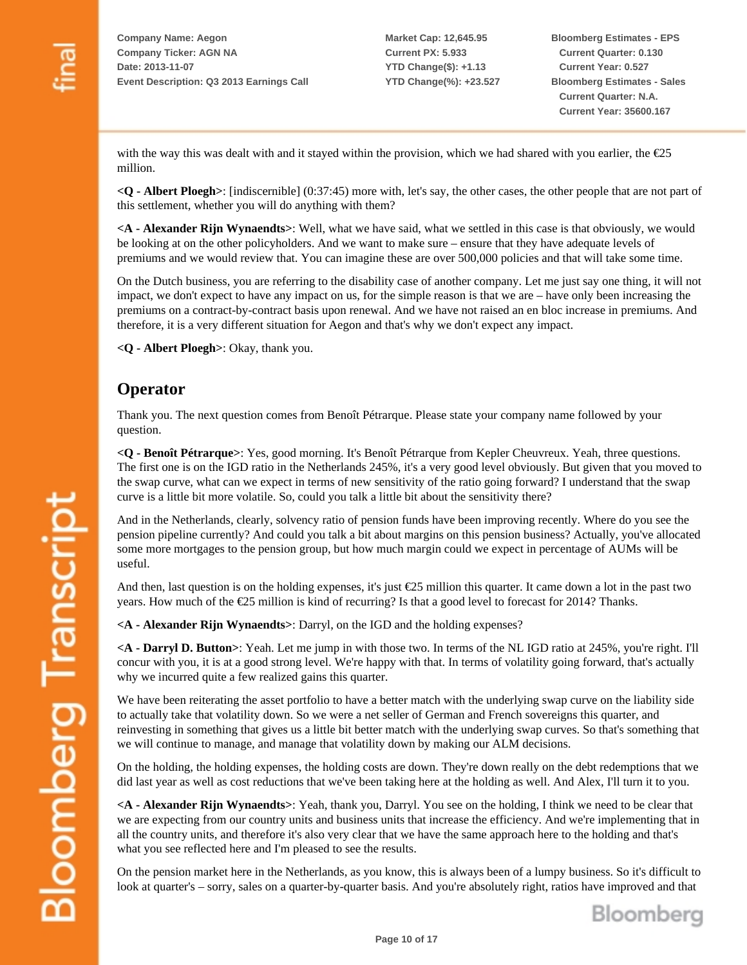**Market Cap: 12,645.95 Current PX: 5.933 YTD Change(\$): +1.13 YTD Change(%): +23.527** **Bloomberg Estimates - EPS Current Quarter: 0.130 Current Year: 0.527 Bloomberg Estimates - Sales Current Quarter: N.A. Current Year: 35600.167**

with the way this was dealt with and it stayed within the provision, which we had shared with you earlier, the  $E25$ million.

**<Q - Albert Ploegh>**: [indiscernible] (0:37:45) more with, let's say, the other cases, the other people that are not part of this settlement, whether you will do anything with them?

**<A - Alexander Rijn Wynaendts>**: Well, what we have said, what we settled in this case is that obviously, we would be looking at on the other policyholders. And we want to make sure – ensure that they have adequate levels of premiums and we would review that. You can imagine these are over 500,000 policies and that will take some time.

On the Dutch business, you are referring to the disability case of another company. Let me just say one thing, it will not impact, we don't expect to have any impact on us, for the simple reason is that we are – have only been increasing the premiums on a contract-by-contract basis upon renewal. And we have not raised an en bloc increase in premiums. And therefore, it is a very different situation for Aegon and that's why we don't expect any impact.

**<Q - Albert Ploegh>**: Okay, thank you.

#### **Operator**

Thank you. The next question comes from Benoît Pétrarque. Please state your company name followed by your question.

**<Q - Benoît Pétrarque>**: Yes, good morning. It's Benoît Pétrarque from Kepler Cheuvreux. Yeah, three questions. The first one is on the IGD ratio in the Netherlands 245%, it's a very good level obviously. But given that you moved to the swap curve, what can we expect in terms of new sensitivity of the ratio going forward? I understand that the swap curve is a little bit more volatile. So, could you talk a little bit about the sensitivity there?

And in the Netherlands, clearly, solvency ratio of pension funds have been improving recently. Where do you see the pension pipeline currently? And could you talk a bit about margins on this pension business? Actually, you've allocated some more mortgages to the pension group, but how much margin could we expect in percentage of AUMs will be useful.

And then, last question is on the holding expenses, it's just €25 million this quarter. It came down a lot in the past two years. How much of the  $\epsilon$ 25 million is kind of recurring? Is that a good level to forecast for 2014? Thanks.

**<A - Alexander Rijn Wynaendts>**: Darryl, on the IGD and the holding expenses?

**<A - Darryl D. Button>**: Yeah. Let me jump in with those two. In terms of the NL IGD ratio at 245%, you're right. I'll concur with you, it is at a good strong level. We're happy with that. In terms of volatility going forward, that's actually why we incurred quite a few realized gains this quarter.

We have been reiterating the asset portfolio to have a better match with the underlying swap curve on the liability side to actually take that volatility down. So we were a net seller of German and French sovereigns this quarter, and reinvesting in something that gives us a little bit better match with the underlying swap curves. So that's something that we will continue to manage, and manage that volatility down by making our ALM decisions.

On the holding, the holding expenses, the holding costs are down. They're down really on the debt redemptions that we did last year as well as cost reductions that we've been taking here at the holding as well. And Alex, I'll turn it to you.

**<A - Alexander Rijn Wynaendts>**: Yeah, thank you, Darryl. You see on the holding, I think we need to be clear that we are expecting from our country units and business units that increase the efficiency. And we're implementing that in all the country units, and therefore it's also very clear that we have the same approach here to the holding and that's what you see reflected here and I'm pleased to see the results.

On the pension market here in the Netherlands, as you know, this is always been of a lumpy business. So it's difficult to look at quarter's – sorry, sales on a quarter-by-quarter basis. And you're absolutely right, ratios have improved and that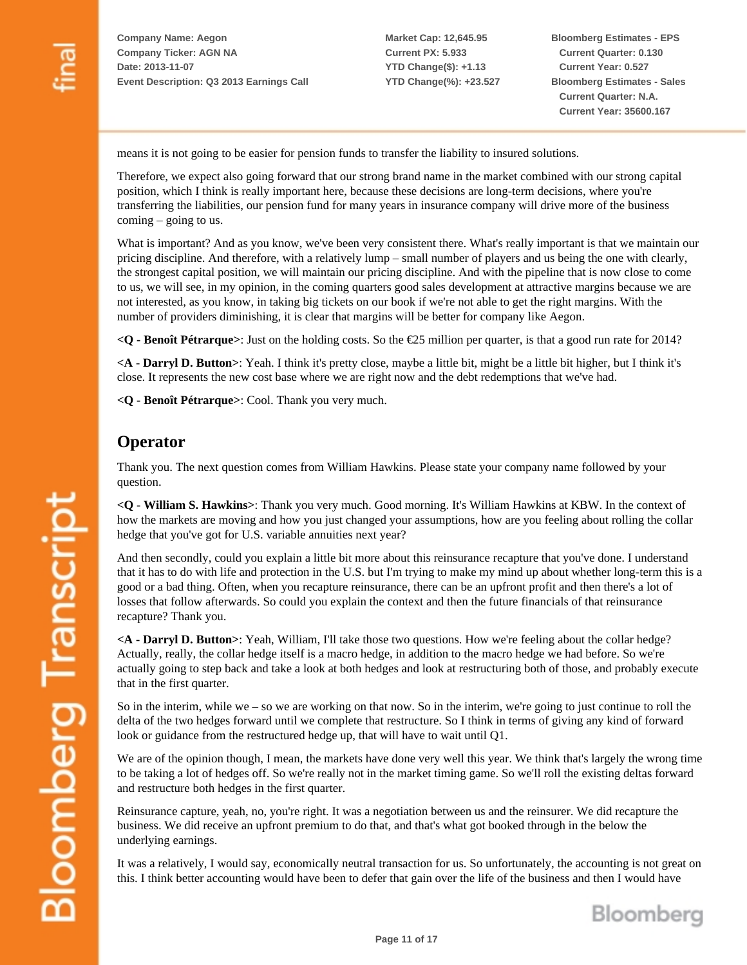**Market Cap: 12,645.95 Current PX: 5.933 YTD Change(\$): +1.13 YTD Change(%): +23.527** **Bloomberg Estimates - EPS Current Quarter: 0.130 Current Year: 0.527 Bloomberg Estimates - Sales Current Quarter: N.A. Current Year: 35600.167**

means it is not going to be easier for pension funds to transfer the liability to insured solutions.

Therefore, we expect also going forward that our strong brand name in the market combined with our strong capital position, which I think is really important here, because these decisions are long-term decisions, where you're transferring the liabilities, our pension fund for many years in insurance company will drive more of the business coming – going to us.

What is important? And as you know, we've been very consistent there. What's really important is that we maintain our pricing discipline. And therefore, with a relatively lump – small number of players and us being the one with clearly, the strongest capital position, we will maintain our pricing discipline. And with the pipeline that is now close to come to us, we will see, in my opinion, in the coming quarters good sales development at attractive margins because we are not interested, as you know, in taking big tickets on our book if we're not able to get the right margins. With the number of providers diminishing, it is clear that margins will be better for company like Aegon.

**<Q - Benoît Pétrarque>**: Just on the holding costs. So the €25 million per quarter, is that a good run rate for 2014?

**<A - Darryl D. Button>**: Yeah. I think it's pretty close, maybe a little bit, might be a little bit higher, but I think it's close. It represents the new cost base where we are right now and the debt redemptions that we've had.

**<Q - Benoît Pétrarque>**: Cool. Thank you very much.

### **Operator**

Thank you. The next question comes from William Hawkins. Please state your company name followed by your question.

**<Q - William S. Hawkins>**: Thank you very much. Good morning. It's William Hawkins at KBW. In the context of how the markets are moving and how you just changed your assumptions, how are you feeling about rolling the collar hedge that you've got for U.S. variable annuities next year?

And then secondly, could you explain a little bit more about this reinsurance recapture that you've done. I understand that it has to do with life and protection in the U.S. but I'm trying to make my mind up about whether long-term this is a good or a bad thing. Often, when you recapture reinsurance, there can be an upfront profit and then there's a lot of losses that follow afterwards. So could you explain the context and then the future financials of that reinsurance recapture? Thank you.

**<A - Darryl D. Button>**: Yeah, William, I'll take those two questions. How we're feeling about the collar hedge? Actually, really, the collar hedge itself is a macro hedge, in addition to the macro hedge we had before. So we're actually going to step back and take a look at both hedges and look at restructuring both of those, and probably execute that in the first quarter.

So in the interim, while we – so we are working on that now. So in the interim, we're going to just continue to roll the delta of the two hedges forward until we complete that restructure. So I think in terms of giving any kind of forward look or guidance from the restructured hedge up, that will have to wait until Q1.

We are of the opinion though, I mean, the markets have done very well this year. We think that's largely the wrong time to be taking a lot of hedges off. So we're really not in the market timing game. So we'll roll the existing deltas forward and restructure both hedges in the first quarter.

Reinsurance capture, yeah, no, you're right. It was a negotiation between us and the reinsurer. We did recapture the business. We did receive an upfront premium to do that, and that's what got booked through in the below the underlying earnings.

It was a relatively, I would say, economically neutral transaction for us. So unfortunately, the accounting is not great on this. I think better accounting would have been to defer that gain over the life of the business and then I would have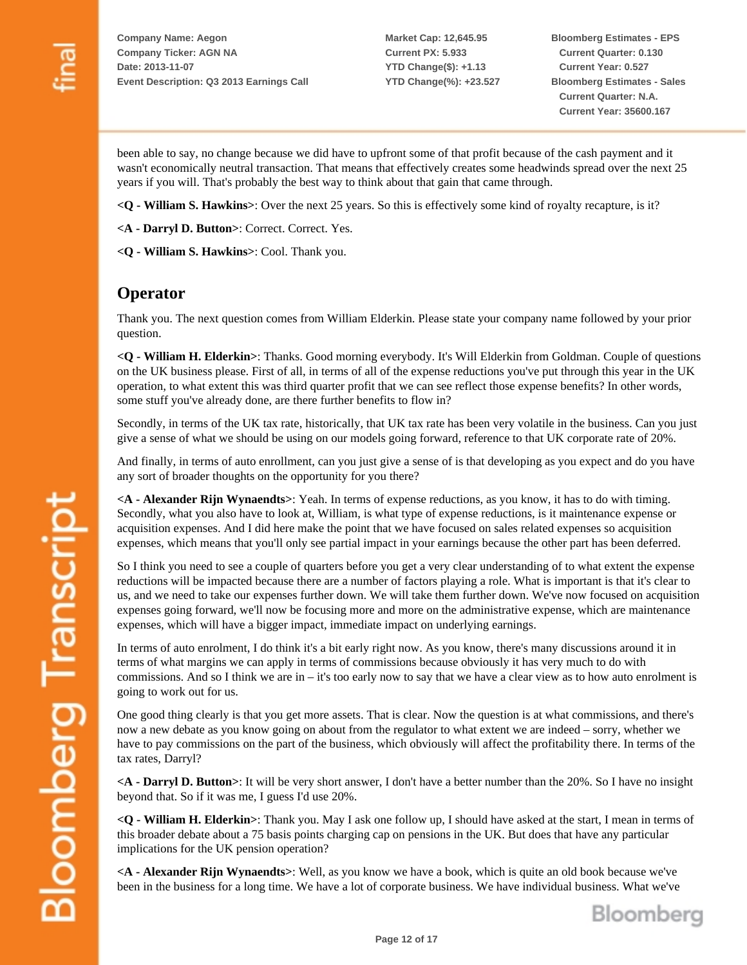**Market Cap: 12,645.95 Current PX: 5.933 YTD Change(\$): +1.13 YTD Change(%): +23.527** **Bloomberg Estimates - EPS Current Quarter: 0.130 Current Year: 0.527 Bloomberg Estimates - Sales Current Quarter: N.A. Current Year: 35600.167**

Bloomberg

been able to say, no change because we did have to upfront some of that profit because of the cash payment and it wasn't economically neutral transaction. That means that effectively creates some headwinds spread over the next 25 years if you will. That's probably the best way to think about that gain that came through.

**<Q - William S. Hawkins>**: Over the next 25 years. So this is effectively some kind of royalty recapture, is it?

**<A - Darryl D. Button>**: Correct. Correct. Yes.

**<Q - William S. Hawkins>**: Cool. Thank you.

#### **Operator**

Thank you. The next question comes from William Elderkin. Please state your company name followed by your prior question.

**<Q - William H. Elderkin>**: Thanks. Good morning everybody. It's Will Elderkin from Goldman. Couple of questions on the UK business please. First of all, in terms of all of the expense reductions you've put through this year in the UK operation, to what extent this was third quarter profit that we can see reflect those expense benefits? In other words, some stuff you've already done, are there further benefits to flow in?

Secondly, in terms of the UK tax rate, historically, that UK tax rate has been very volatile in the business. Can you just give a sense of what we should be using on our models going forward, reference to that UK corporate rate of 20%.

And finally, in terms of auto enrollment, can you just give a sense of is that developing as you expect and do you have any sort of broader thoughts on the opportunity for you there?

**<A - Alexander Rijn Wynaendts>**: Yeah. In terms of expense reductions, as you know, it has to do with timing. Secondly, what you also have to look at, William, is what type of expense reductions, is it maintenance expense or acquisition expenses. And I did here make the point that we have focused on sales related expenses so acquisition expenses, which means that you'll only see partial impact in your earnings because the other part has been deferred.

So I think you need to see a couple of quarters before you get a very clear understanding of to what extent the expense reductions will be impacted because there are a number of factors playing a role. What is important is that it's clear to us, and we need to take our expenses further down. We will take them further down. We've now focused on acquisition expenses going forward, we'll now be focusing more and more on the administrative expense, which are maintenance expenses, which will have a bigger impact, immediate impact on underlying earnings.

In terms of auto enrolment, I do think it's a bit early right now. As you know, there's many discussions around it in terms of what margins we can apply in terms of commissions because obviously it has very much to do with commissions. And so I think we are in – it's too early now to say that we have a clear view as to how auto enrolment is going to work out for us.

One good thing clearly is that you get more assets. That is clear. Now the question is at what commissions, and there's now a new debate as you know going on about from the regulator to what extent we are indeed – sorry, whether we have to pay commissions on the part of the business, which obviously will affect the profitability there. In terms of the tax rates, Darryl?

**<A - Darryl D. Button>**: It will be very short answer, I don't have a better number than the 20%. So I have no insight beyond that. So if it was me, I guess I'd use 20%.

**<Q - William H. Elderkin>**: Thank you. May I ask one follow up, I should have asked at the start, I mean in terms of this broader debate about a 75 basis points charging cap on pensions in the UK. But does that have any particular implications for the UK pension operation?

**<A - Alexander Rijn Wynaendts>**: Well, as you know we have a book, which is quite an old book because we've been in the business for a long time. We have a lot of corporate business. We have individual business. What we've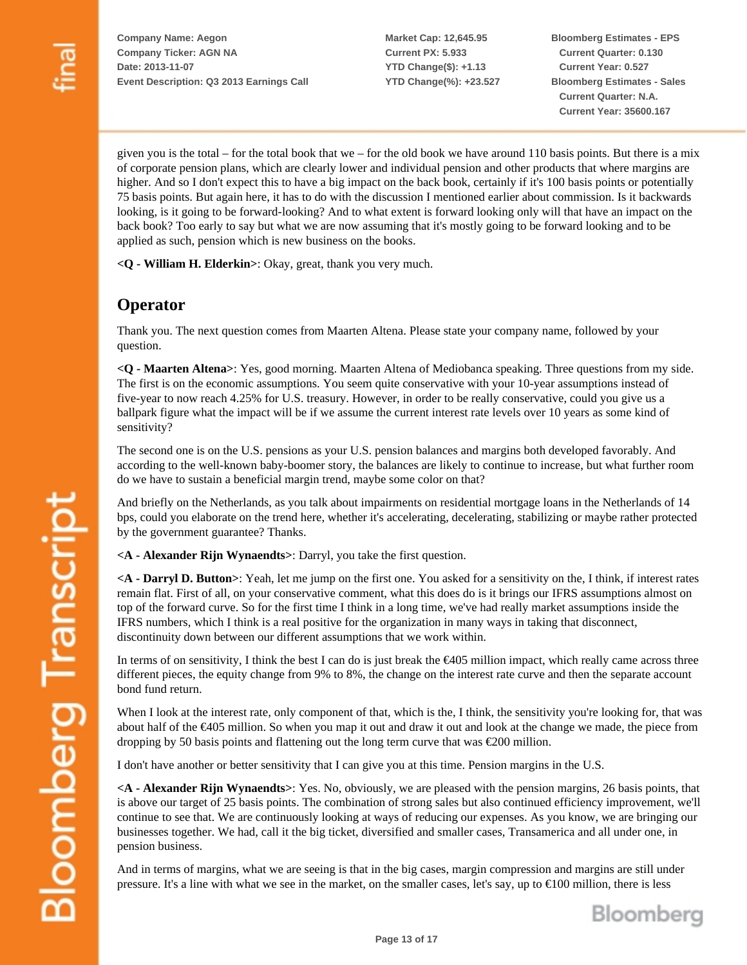**Market Cap: 12,645.95 Current PX: 5.933 YTD Change(\$): +1.13 YTD Change(%): +23.527** **Bloomberg Estimates - EPS Current Quarter: 0.130 Current Year: 0.527 Bloomberg Estimates - Sales Current Quarter: N.A. Current Year: 35600.167**

given you is the total – for the total book that we – for the old book we have around 110 basis points. But there is a mix of corporate pension plans, which are clearly lower and individual pension and other products that where margins are higher. And so I don't expect this to have a big impact on the back book, certainly if it's 100 basis points or potentially 75 basis points. But again here, it has to do with the discussion I mentioned earlier about commission. Is it backwards looking, is it going to be forward-looking? And to what extent is forward looking only will that have an impact on the back book? Too early to say but what we are now assuming that it's mostly going to be forward looking and to be applied as such, pension which is new business on the books.

**<Q - William H. Elderkin>**: Okay, great, thank you very much.

#### **Operator**

Thank you. The next question comes from Maarten Altena. Please state your company name, followed by your question.

**<Q - Maarten Altena>**: Yes, good morning. Maarten Altena of Mediobanca speaking. Three questions from my side. The first is on the economic assumptions. You seem quite conservative with your 10-year assumptions instead of five-year to now reach 4.25% for U.S. treasury. However, in order to be really conservative, could you give us a ballpark figure what the impact will be if we assume the current interest rate levels over 10 years as some kind of sensitivity?

The second one is on the U.S. pensions as your U.S. pension balances and margins both developed favorably. And according to the well-known baby-boomer story, the balances are likely to continue to increase, but what further room do we have to sustain a beneficial margin trend, maybe some color on that?

And briefly on the Netherlands, as you talk about impairments on residential mortgage loans in the Netherlands of 14 bps, could you elaborate on the trend here, whether it's accelerating, decelerating, stabilizing or maybe rather protected by the government guarantee? Thanks.

**<A - Alexander Rijn Wynaendts>**: Darryl, you take the first question.

**<A - Darryl D. Button>**: Yeah, let me jump on the first one. You asked for a sensitivity on the, I think, if interest rates remain flat. First of all, on your conservative comment, what this does do is it brings our IFRS assumptions almost on top of the forward curve. So for the first time I think in a long time, we've had really market assumptions inside the IFRS numbers, which I think is a real positive for the organization in many ways in taking that disconnect, discontinuity down between our different assumptions that we work within.

In terms of on sensitivity, I think the best I can do is just break the  $\epsilon$ 405 million impact, which really came across three different pieces, the equity change from 9% to 8%, the change on the interest rate curve and then the separate account bond fund return.

When I look at the interest rate, only component of that, which is the, I think, the sensitivity you're looking for, that was about half of the €405 million. So when you map it out and draw it out and look at the change we made, the piece from dropping by 50 basis points and flattening out the long term curve that was €200 million.

I don't have another or better sensitivity that I can give you at this time. Pension margins in the U.S.

**<A - Alexander Rijn Wynaendts>**: Yes. No, obviously, we are pleased with the pension margins, 26 basis points, that is above our target of 25 basis points. The combination of strong sales but also continued efficiency improvement, we'll continue to see that. We are continuously looking at ways of reducing our expenses. As you know, we are bringing our businesses together. We had, call it the big ticket, diversified and smaller cases, Transamerica and all under one, in pension business.

And in terms of margins, what we are seeing is that in the big cases, margin compression and margins are still under pressure. It's a line with what we see in the market, on the smaller cases, let's say, up to €100 million, there is less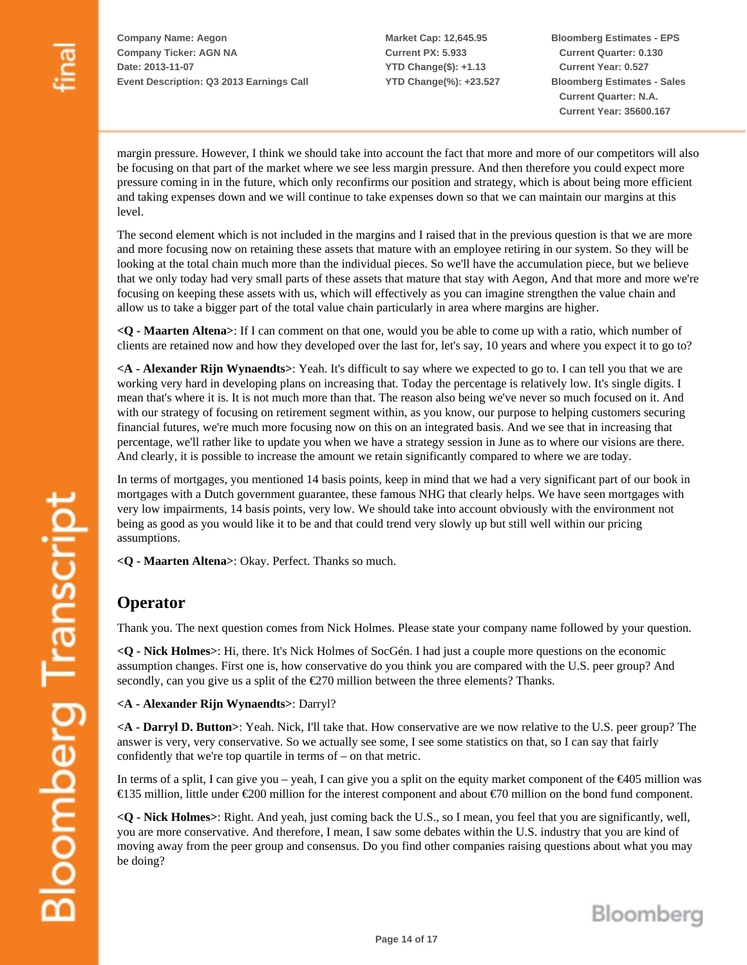**Market Cap: 12,645.95 Current PX: 5.933 YTD Change(\$): +1.13 YTD Change(%): +23.527** **Bloomberg Estimates - EPS Current Quarter: 0.130 Current Year: 0.527 Bloomberg Estimates - Sales Current Quarter: N.A. Current Year: 35600.167**

margin pressure. However, I think we should take into account the fact that more and more of our competitors will also be focusing on that part of the market where we see less margin pressure. And then therefore you could expect more pressure coming in in the future, which only reconfirms our position and strategy, which is about being more efficient and taking expenses down and we will continue to take expenses down so that we can maintain our margins at this level.

The second element which is not included in the margins and I raised that in the previous question is that we are more and more focusing now on retaining these assets that mature with an employee retiring in our system. So they will be looking at the total chain much more than the individual pieces. So we'll have the accumulation piece, but we believe that we only today had very small parts of these assets that mature that stay with Aegon, And that more and more we're focusing on keeping these assets with us, which will effectively as you can imagine strengthen the value chain and allow us to take a bigger part of the total value chain particularly in area where margins are higher.

**<Q - Maarten Altena>**: If I can comment on that one, would you be able to come up with a ratio, which number of clients are retained now and how they developed over the last for, let's say, 10 years and where you expect it to go to?

**<A - Alexander Rijn Wynaendts>**: Yeah. It's difficult to say where we expected to go to. I can tell you that we are working very hard in developing plans on increasing that. Today the percentage is relatively low. It's single digits. I mean that's where it is. It is not much more than that. The reason also being we've never so much focused on it. And with our strategy of focusing on retirement segment within, as you know, our purpose to helping customers securing financial futures, we're much more focusing now on this on an integrated basis. And we see that in increasing that percentage, we'll rather like to update you when we have a strategy session in June as to where our visions are there. And clearly, it is possible to increase the amount we retain significantly compared to where we are today.

In terms of mortgages, you mentioned 14 basis points, keep in mind that we had a very significant part of our book in mortgages with a Dutch government guarantee, these famous NHG that clearly helps. We have seen mortgages with very low impairments, 14 basis points, very low. We should take into account obviously with the environment not being as good as you would like it to be and that could trend very slowly up but still well within our pricing assumptions.

**<Q - Maarten Altena>**: Okay. Perfect. Thanks so much.

## **Operator**

Thank you. The next question comes from Nick Holmes. Please state your company name followed by your question.

**<Q - Nick Holmes>**: Hi, there. It's Nick Holmes of SocGén. I had just a couple more questions on the economic assumption changes. First one is, how conservative do you think you are compared with the U.S. peer group? And secondly, can you give us a split of the €270 million between the three elements? Thanks.

**<A - Alexander Rijn Wynaendts>**: Darryl?

**<A - Darryl D. Button>**: Yeah. Nick, I'll take that. How conservative are we now relative to the U.S. peer group? The answer is very, very conservative. So we actually see some, I see some statistics on that, so I can say that fairly confidently that we're top quartile in terms of – on that metric.

In terms of a split, I can give you – yeah, I can give you a split on the equity market component of the  $\epsilon$ 405 million was €135 million, little under €200 million for the interest component and about €70 million on the bond fund component.

**<Q - Nick Holmes>**: Right. And yeah, just coming back the U.S., so I mean, you feel that you are significantly, well, you are more conservative. And therefore, I mean, I saw some debates within the U.S. industry that you are kind of moving away from the peer group and consensus. Do you find other companies raising questions about what you may be doing?

Bloomberg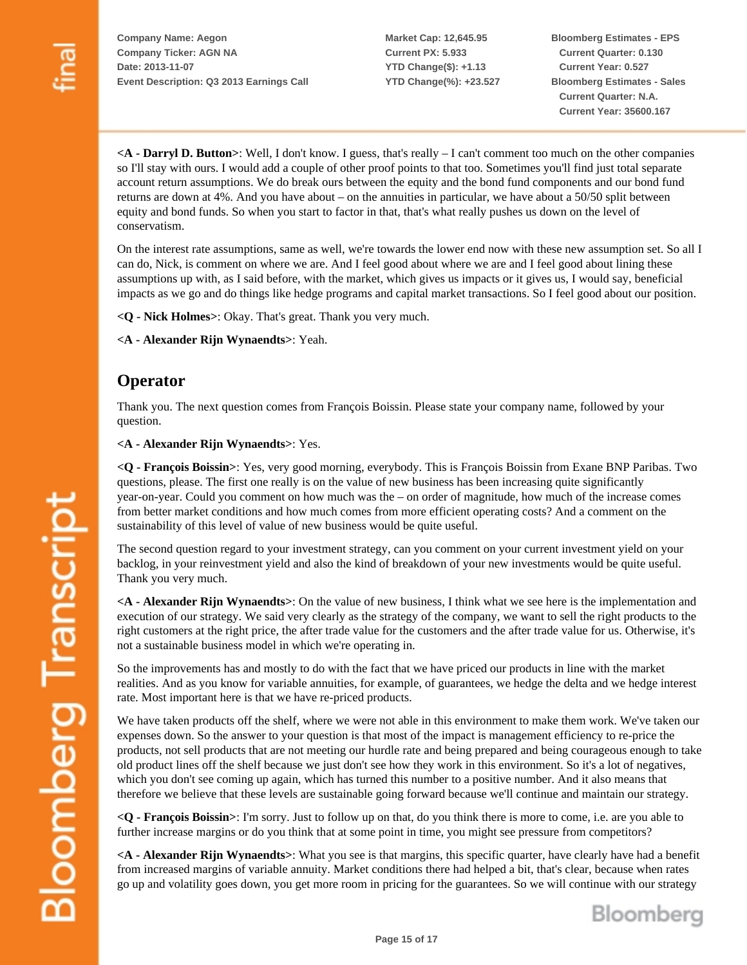**Market Cap: 12,645.95 Current PX: 5.933 YTD Change(\$): +1.13 YTD Change(%): +23.527** **Bloomberg Estimates - EPS Current Quarter: 0.130 Current Year: 0.527 Bloomberg Estimates - Sales Current Quarter: N.A. Current Year: 35600.167**

**<A - Darryl D. Button>**: Well, I don't know. I guess, that's really – I can't comment too much on the other companies so I'll stay with ours. I would add a couple of other proof points to that too. Sometimes you'll find just total separate account return assumptions. We do break ours between the equity and the bond fund components and our bond fund returns are down at 4%. And you have about – on the annuities in particular, we have about a 50/50 split between equity and bond funds. So when you start to factor in that, that's what really pushes us down on the level of conservatism.

On the interest rate assumptions, same as well, we're towards the lower end now with these new assumption set. So all I can do, Nick, is comment on where we are. And I feel good about where we are and I feel good about lining these assumptions up with, as I said before, with the market, which gives us impacts or it gives us, I would say, beneficial impacts as we go and do things like hedge programs and capital market transactions. So I feel good about our position.

**<Q - Nick Holmes>**: Okay. That's great. Thank you very much.

**<A - Alexander Rijn Wynaendts>**: Yeah.

#### **Operator**

Thank you. The next question comes from François Boissin. Please state your company name, followed by your question.

**<A - Alexander Rijn Wynaendts>**: Yes.

**<Q - François Boissin>**: Yes, very good morning, everybody. This is François Boissin from Exane BNP Paribas. Two questions, please. The first one really is on the value of new business has been increasing quite significantly year-on-year. Could you comment on how much was the – on order of magnitude, how much of the increase comes from better market conditions and how much comes from more efficient operating costs? And a comment on the sustainability of this level of value of new business would be quite useful.

The second question regard to your investment strategy, can you comment on your current investment yield on your backlog, in your reinvestment yield and also the kind of breakdown of your new investments would be quite useful. Thank you very much.

**<A - Alexander Rijn Wynaendts>**: On the value of new business, I think what we see here is the implementation and execution of our strategy. We said very clearly as the strategy of the company, we want to sell the right products to the right customers at the right price, the after trade value for the customers and the after trade value for us. Otherwise, it's not a sustainable business model in which we're operating in.

So the improvements has and mostly to do with the fact that we have priced our products in line with the market realities. And as you know for variable annuities, for example, of guarantees, we hedge the delta and we hedge interest rate. Most important here is that we have re-priced products.

We have taken products off the shelf, where we were not able in this environment to make them work. We've taken our expenses down. So the answer to your question is that most of the impact is management efficiency to re-price the products, not sell products that are not meeting our hurdle rate and being prepared and being courageous enough to take old product lines off the shelf because we just don't see how they work in this environment. So it's a lot of negatives, which you don't see coming up again, which has turned this number to a positive number. And it also means that therefore we believe that these levels are sustainable going forward because we'll continue and maintain our strategy.

**<Q - François Boissin>**: I'm sorry. Just to follow up on that, do you think there is more to come, i.e. are you able to further increase margins or do you think that at some point in time, you might see pressure from competitors?

**<A - Alexander Rijn Wynaendts>**: What you see is that margins, this specific quarter, have clearly have had a benefit from increased margins of variable annuity. Market conditions there had helped a bit, that's clear, because when rates go up and volatility goes down, you get more room in pricing for the guarantees. So we will continue with our strategy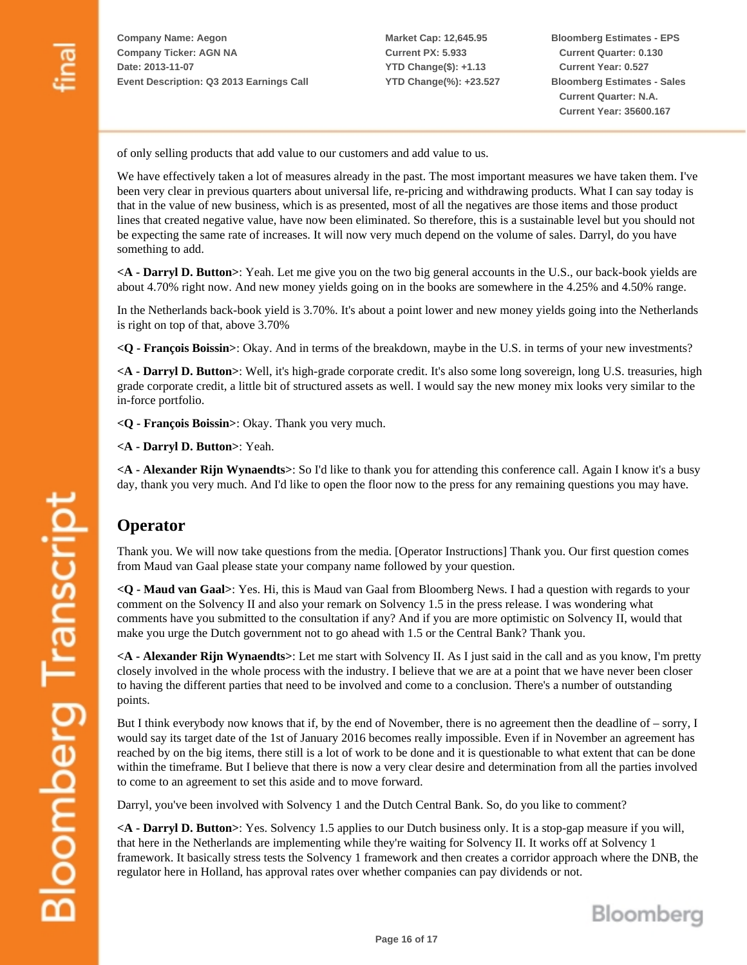**Market Cap: 12,645.95 Current PX: 5.933 YTD Change(\$): +1.13 YTD Change(%): +23.527** **Bloomberg Estimates - EPS Current Quarter: 0.130 Current Year: 0.527 Bloomberg Estimates - Sales Current Quarter: N.A. Current Year: 35600.167**

of only selling products that add value to our customers and add value to us.

We have effectively taken a lot of measures already in the past. The most important measures we have taken them. I've been very clear in previous quarters about universal life, re-pricing and withdrawing products. What I can say today is that in the value of new business, which is as presented, most of all the negatives are those items and those product lines that created negative value, have now been eliminated. So therefore, this is a sustainable level but you should not be expecting the same rate of increases. It will now very much depend on the volume of sales. Darryl, do you have something to add.

**<A - Darryl D. Button>**: Yeah. Let me give you on the two big general accounts in the U.S., our back-book yields are about 4.70% right now. And new money yields going on in the books are somewhere in the 4.25% and 4.50% range.

In the Netherlands back-book yield is 3.70%. It's about a point lower and new money yields going into the Netherlands is right on top of that, above 3.70%

**<Q - François Boissin>**: Okay. And in terms of the breakdown, maybe in the U.S. in terms of your new investments?

**<A - Darryl D. Button>**: Well, it's high-grade corporate credit. It's also some long sovereign, long U.S. treasuries, high grade corporate credit, a little bit of structured assets as well. I would say the new money mix looks very similar to the in-force portfolio.

**<Q - François Boissin>**: Okay. Thank you very much.

**<A - Darryl D. Button>**: Yeah.

**<A - Alexander Rijn Wynaendts>**: So I'd like to thank you for attending this conference call. Again I know it's a busy day, thank you very much. And I'd like to open the floor now to the press for any remaining questions you may have.

#### **Operator**

Thank you. We will now take questions from the media. [Operator Instructions] Thank you. Our first question comes from Maud van Gaal please state your company name followed by your question.

**<Q - Maud van Gaal>**: Yes. Hi, this is Maud van Gaal from Bloomberg News. I had a question with regards to your comment on the Solvency II and also your remark on Solvency 1.5 in the press release. I was wondering what comments have you submitted to the consultation if any? And if you are more optimistic on Solvency II, would that make you urge the Dutch government not to go ahead with 1.5 or the Central Bank? Thank you.

**<A - Alexander Rijn Wynaendts>**: Let me start with Solvency II. As I just said in the call and as you know, I'm pretty closely involved in the whole process with the industry. I believe that we are at a point that we have never been closer to having the different parties that need to be involved and come to a conclusion. There's a number of outstanding points.

But I think everybody now knows that if, by the end of November, there is no agreement then the deadline of – sorry, I would say its target date of the 1st of January 2016 becomes really impossible. Even if in November an agreement has reached by on the big items, there still is a lot of work to be done and it is questionable to what extent that can be done within the timeframe. But I believe that there is now a very clear desire and determination from all the parties involved to come to an agreement to set this aside and to move forward.

Darryl, you've been involved with Solvency 1 and the Dutch Central Bank. So, do you like to comment?

**<A - Darryl D. Button>**: Yes. Solvency 1.5 applies to our Dutch business only. It is a stop-gap measure if you will, that here in the Netherlands are implementing while they're waiting for Solvency II. It works off at Solvency 1 framework. It basically stress tests the Solvency 1 framework and then creates a corridor approach where the DNB, the regulator here in Holland, has approval rates over whether companies can pay dividends or not.